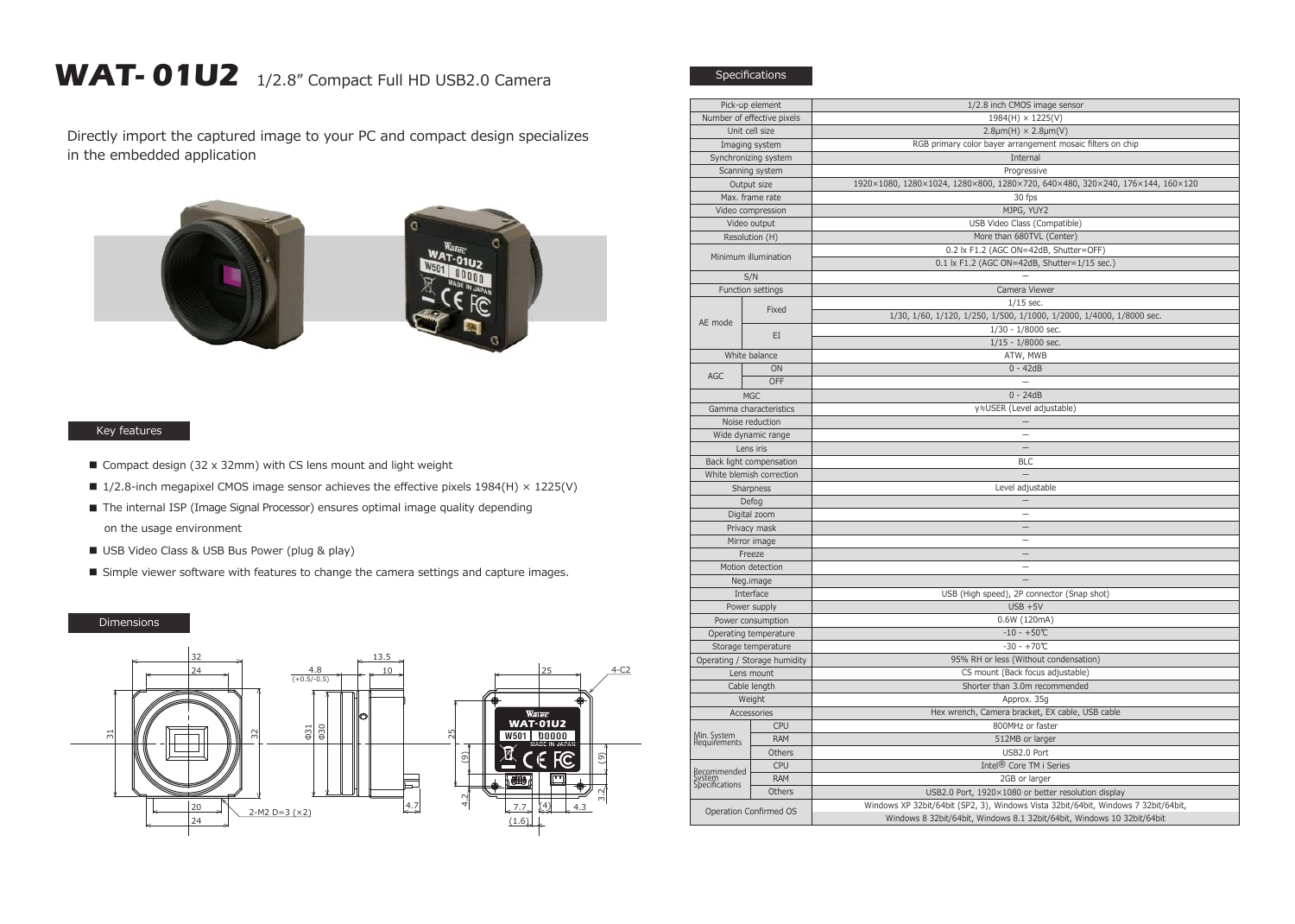## WAT- 01U2 1/2.8" Compact Full HD USB2.0 Camera

Directly import the captured image to your PC and compact design specializes in the embedded application



## Key features

- Compact design (32 x 32mm) with CS lens mount and light weight
- $\blacksquare$  1/2.8-inch megapixel CMOS image sensor achieves the effective pixels 1984(H)  $\times$  1225(V)
- The internal ISP (Image Signal Processor) ensures optimal image quality depending on the usage environment
- USB Video Class & USB Bus Power (plug & play)
- Simple viewer software with features to change the camera settings and capture images.

## Dimensions



| Pick-up element                       |                            | 1/2.8 inch CMOS image sensor                                                       |
|---------------------------------------|----------------------------|------------------------------------------------------------------------------------|
|                                       | Number of effective pixels | 1984(H) × 1225(V)                                                                  |
| Unit cell size                        |                            | $2.8 \mu m(H) \times 2.8 \mu m(V)$                                                 |
|                                       | Imaging system             | RGB primary color bayer arrangement mosaic filters on chip                         |
| Synchronizing system                  |                            | Internal                                                                           |
| Scanning system                       |                            | Progressive                                                                        |
| Output size                           |                            | 1920×1080, 1280×1024, 1280×800, 1280×720, 640×480, 320×240, 176×144, 160×120       |
| Max. frame rate                       |                            | 30 fps                                                                             |
| Video compression                     |                            | MJPG, YUY2                                                                         |
| Video output                          |                            | USB Video Class (Compatible)                                                       |
| Resolution (H)                        |                            | More than 680TVL (Center)                                                          |
| Minimum illumination                  |                            | 0.2 lx F1.2 (AGC ON=42dB, Shutter=OFF)                                             |
|                                       |                            | 0.1 lx F1.2 (AGC ON=42dB, Shutter=1/15 sec.)                                       |
| S/N                                   |                            |                                                                                    |
| Function settings                     |                            | Camera Viewer                                                                      |
|                                       | Fixed<br>EI                | $1/15$ sec.                                                                        |
| AE mode                               |                            | 1/30, 1/60, 1/120, 1/250, 1/500, 1/1000, 1/2000, 1/4000, 1/8000 sec.               |
|                                       |                            | 1/30 - 1/8000 sec.                                                                 |
|                                       |                            | $1/15 - 1/8000$ sec.                                                               |
| White balance                         |                            | ATW, MWB                                                                           |
| AGC                                   | ON                         | $0 - 42dB$                                                                         |
|                                       | OFF                        |                                                                                    |
|                                       | <b>MGC</b>                 | $0 - 24dB$                                                                         |
| Gamma characteristics                 |                            | γ≒USER (Level adjustable)                                                          |
| Noise reduction                       |                            |                                                                                    |
| Wide dynamic range                    |                            | $\overline{\phantom{0}}$                                                           |
| Lens iris                             |                            | $\qquad \qquad -$                                                                  |
| Back light compensation               |                            | <b>BLC</b>                                                                         |
| White blemish correction              |                            | $\equiv$                                                                           |
| Sharpness                             |                            | Level adjustable                                                                   |
| Defog                                 |                            |                                                                                    |
| Digital zoom                          |                            | L.                                                                                 |
| Privacy mask                          |                            | $\overline{\phantom{0}}$                                                           |
| Mirror image                          |                            | $\overline{\phantom{0}}$                                                           |
| Freeze                                |                            | =                                                                                  |
| Motion detection                      |                            | $\overline{\phantom{0}}$                                                           |
| Neg.image                             |                            |                                                                                    |
| Interface                             |                            | USB (High speed), 2P connector (Snap shot)                                         |
| Power supply                          |                            | $USB + 5V$                                                                         |
| Power consumption                     |                            | 0.6W (120mA)                                                                       |
| Operating temperature                 |                            | $-10 - +50$ °C                                                                     |
| Storage temperature                   |                            | $-30 - +70$ °C                                                                     |
| Operating / Storage humidity          |                            | 95% RH or less (Without condensation)                                              |
| Lens mount                            |                            | CS mount (Back focus adjustable)                                                   |
| Cable length                          |                            | Shorter than 3.0m recommended                                                      |
| Weight                                |                            | Approx. 35g                                                                        |
| Accessories                           |                            | Hex wrench, Camera bracket, EX cable, USB cable                                    |
| Min. System<br>Requirements           | <b>CPU</b>                 | 800MHz or faster                                                                   |
|                                       | <b>RAM</b>                 | 512MB or larger                                                                    |
|                                       | Others                     | USB2.0 Port                                                                        |
| Recommended<br>ystem<br>pecifications | <b>CPU</b>                 | Intel <sup>®</sup> Core TM i Series                                                |
|                                       | <b>RAM</b>                 | 2GB or larger                                                                      |
|                                       | Others                     | USB2.0 Port, 1920×1080 or better resolution display                                |
| Operation Confirmed OS                |                            | Windows XP 32bit/64bit (SP2, 3), Windows Vista 32bit/64bit, Windows 7 32bit/64bit, |
|                                       |                            | Windows 8 32bit/64bit, Windows 8.1 32bit/64bit, Windows 10 32bit/64bit             |
|                                       |                            |                                                                                    |

Specifications

 $\frac{1}{\sqrt{2}}$